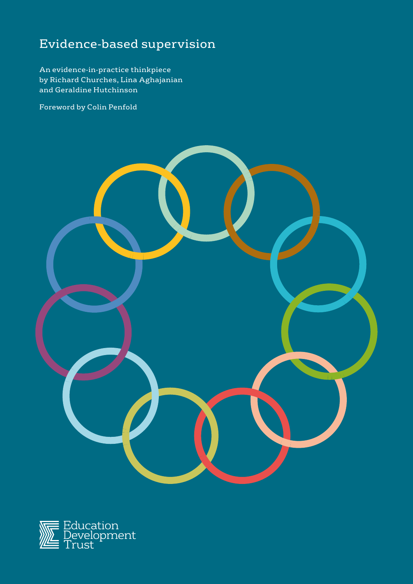# Evidence-based supervision

An evidence-in-practice thinkpiece by Richard Churches, Lina Aghajanian and Geraldine Hutchinson

Foreword by Colin Penfold



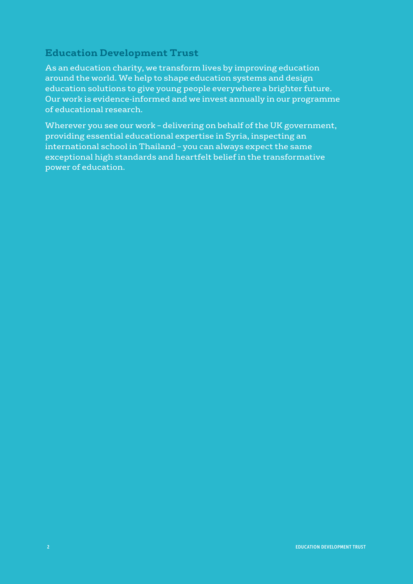# **Education Development Trust**

As an education charity, we transform lives by improving education around the world. We help to shape education systems and design education solutions to give young people everywhere a brighter future. Our work is evidence-informed and we invest annually in our programme of educational research.

Wherever you see our work – delivering on behalf of the UK government, providing essential educational expertise in Syria, inspecting an international school in Thailand – you can always expect the same exceptional high standards and heartfelt belief in the transformative power of education.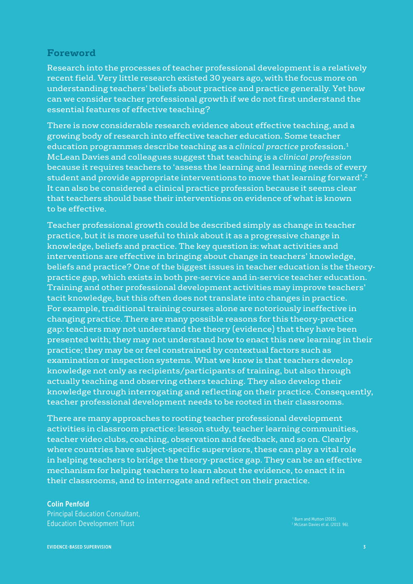### **Foreword**

Research into the processes of teacher professional development is a relatively recent field. Very little research existed 30 years ago, with the focus more on understanding teachers' beliefs about practice and practice generally. Yet how can we consider teacher professional growth if we do not first understand the essential features of effective teaching?

There is now considerable research evidence about effective teaching, and a growing body of research into effective teacher education. Some teacher education programmes describe teaching as a *clinical practice* profession.1 McLean Davies and colleagues suggest that teaching is a *clinical profession* because it requires teachers to 'assess the learning and learning needs of every student and provide appropriate interventions to move that learning forward'.2 It can also be considered a clinical practice profession because it seems clear that teachers should base their interventions on evidence of what is known to be effective.

Teacher professional growth could be described simply as change in teacher practice, but it is more useful to think about it as a progressive change in knowledge, beliefs and practice. The key question is: what activities and interventions are effective in bringing about change in teachers' knowledge, beliefs and practice? One of the biggest issues in teacher education is the theorypractice gap, which exists in both pre-service and in-service teacher education. Training and other professional development activities may improve teachers' tacit knowledge, but this often does not translate into changes in practice. For example, traditional training courses alone are notoriously ineffective in changing practice. There are many possible reasons for this theory-practice gap: teachers may not understand the theory (evidence) that they have been presented with; they may not understand how to enact this new learning in their practice; they may be or feel constrained by contextual factors such as examination or inspection systems. What we know is that teachers develop knowledge not only as recipients/participants of training, but also through actually teaching and observing others teaching. They also develop their knowledge through interrogating and reflecting on their practice. Consequently, teacher professional development needs to be rooted in their classrooms.

There are many approaches to rooting teacher professional development activities in classroom practice: lesson study, teacher learning communities, teacher video clubs, coaching, observation and feedback, and so on. Clearly where countries have subject-specific supervisors, these can play a vital role in helping teachers to bridge the theory-practice gap. They can be an effective mechanism for helping teachers to learn about the evidence, to enact it in their classrooms, and to interrogate and reflect on their practice.

#### Colin Penfold

Principal Education Consultant, Education Development Trust

<sup>1</sup> Burn and Mutton (2015).<br><sup>2</sup> McLean Davies et al. (2013: 96).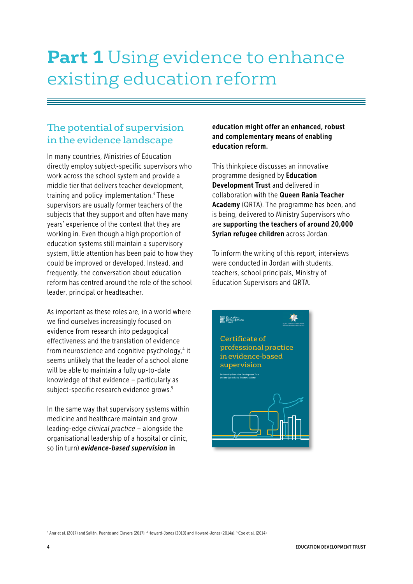# **Part 1** Using evidence to enhance existing education reform

# The potential of supervision in the evidence landscape

In many countries, Ministries of Education directly employ subject-specific supervisors who work across the school system and provide a middle tier that delivers teacher development, training and policy implementation.<sup>3</sup> These supervisors are usually former teachers of the subjects that they support and often have many years' experience of the context that they are working in. Even though a high proportion of education systems still maintain a supervisory system, little attention has been paid to how they could be improved or developed. Instead, and frequently, the conversation about education reform has centred around the role of the school leader, principal or headteacher.

As important as these roles are, in a world where we find ourselves increasingly focused on evidence from research into pedagogical effectiveness and the translation of evidence from neuroscience and cognitive psychology,<sup>4</sup> it seems unlikely that the leader of a school alone will be able to maintain a fully up-to-date knowledge of that evidence – particularly as subject-specific research evidence grows.<sup>5</sup>

In the same way that supervisory systems within medicine and healthcare maintain and grow leading-edge *clinical practice* – alongside the organisational leadership of a hospital or clinic, so (in turn) *evidence-based supervision* in

education might offer an enhanced, robust and complementary means of enabling education reform.

This thinkpiece discusses an innovative programme designed by Education Development Trust and delivered in collaboration with the Queen Rania Teacher Academy (QRTA). The programme has been, and is being, delivered to Ministry Supervisors who are supporting the teachers of around 20,000 Syrian refugee children across Jordan.

To inform the writing of this report, interviews were conducted in Jordan with students, teachers, school principals, Ministry of Education Supervisors and QRTA.



<sup>3</sup> Arar et al. (2017) and Sallán, Puente and Clavera (2017). <sup>4</sup> Howard-Jones (2010) and Howard-Jones (2014a). <sup>5</sup> Coe et al. (2014)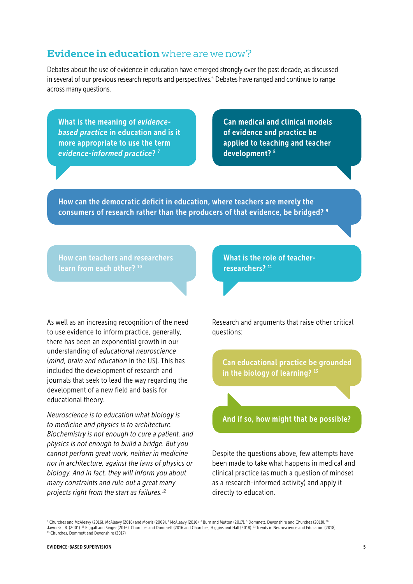### **Evidence in education** where are we now?

Debates about the use of evidence in education have emerged strongly over the past decade, as discussed in several of our previous research reports and perspectives.<sup>6</sup> Debates have ranged and continue to range across many questions.

What is the meaning of *evidencebased practic*e in education and is it more appropriate to use the term *evidence-informed practice*? 7

Can medical and clinical models of evidence and practice be applied to teaching and teacher development? 8

How can the democratic deficit in education, where teachers are merely the consumers of research rather than the producers of that evidence, be bridged? 9

How can teachers and researchers learn from each other? 10

As well as an increasing recognition of the need to use evidence to inform practice, generally, there has been an exponential growth in our understanding of *educational neuroscience* (*mind, brain and education* in the US). This has included the development of research and journals that seek to lead the way regarding the development of a new field and basis for educational theory.

*Neuroscience is to education what biology is to medicine and physics is to architecture. Biochemistry is not enough to cure a patient, and physics is not enough to build a bridge. But you cannot perform great work, neither in medicine nor in architecture, against the laws of physics or biology. And in fact, they will inform you about many constraints and rule out a great many projects right from the start as failures.*<sup>12</sup>

What is the role of teacherresearchers?<sup>11</sup>

Research and arguments that raise other critical questions:

Can educational practice be grounded in the biology of learning?<sup>13</sup>

And if so, how might that be possible?

Despite the questions above, few attempts have been made to take what happens in medical and clinical practice (as much a question of mindset as a research-informed activity) and apply it directly to education.

<sup>6</sup> Churches and McAleavy (2016), McAleavy (2016) and Morris (2009). <sup>7</sup> McAleavy (2016). <sup>8</sup> Burn and Mutton (2017). <sup>9</sup> Dommett, Devonshire and Churches (2018). <sup>10</sup> Jaworski, B. (2001). <sup>11</sup> Riggall and Singer (2016), Churches and Dommett (2016 and Churches, Higgins and Hall (2018). <sup>12</sup> Trends in Neuroscience and Education (2018). <sup>13</sup> Churches, Dommett and Devonshire (2017).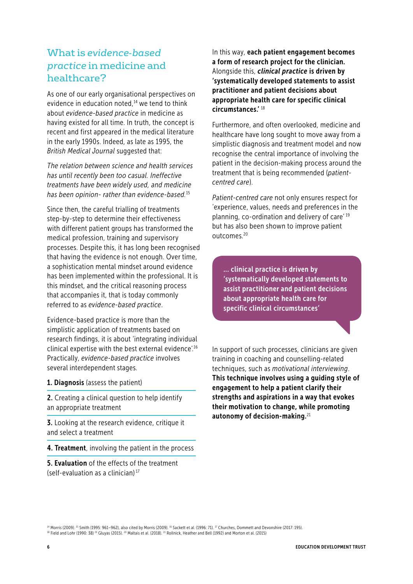# What is *evidence-based practice* in medicine and healthcare?

As one of our early organisational perspectives on evidence in education noted. $14$  we tend to think about *evidence-based practice* in medicine as having existed for all time. In truth, the concept is recent and first appeared in the medical literature in the early 1990s. Indeed, as late as 1995, the *British Medical Journal* suggested that:

*The relation between science and health services has until recently been too casual. Ineffective treatments have been widely used, and medicine has been opinion- rather than evidence-based.*<sup>15</sup>

Since then, the careful trialling of treatments step-by-step to determine their effectiveness with different patient groups has transformed the medical profession, training and supervisory processes. Despite this, it has long been recognised that having the evidence is not enough. Over time, a sophistication mental mindset around evidence has been implemented within the professional. It is this mindset, and the critical reasoning process that accompanies it, that is today commonly referred to as *evidence-based practice*.

Evidence-based practice is more than the simplistic application of treatments based on research findings, it is about 'integrating individual clinical expertise with the best external evidence'.16 Practically, *evidence-based practice* involves several interdependent stages.

#### 1. Diagnosis (assess the patient)

2. Creating a clinical question to help identify an appropriate treatment

**3.** Looking at the research evidence, critique it and select a treatment

4. Treatment, involving the patient in the process

5. Evaluation of the effects of the treatment (self-evaluation as a clinician) 17

In this way, each patient engagement becomes a form of research project for the clinician. Alongside this, *clinical practice* is driven by 'systematically developed statements to assist practitioner and patient decisions about appropriate health care for specific clinical circumstances.' <sup>18</sup>

Furthermore, and often overlooked, medicine and healthcare have long sought to move away from a simplistic diagnosis and treatment model and now recognise the central importance of involving the patient in the decision-making process around the treatment that is being recommended (*patientcentred care*).

*Patient-centred care* not only ensures respect for 'experience, values, needs and preferences in the planning, co-ordination and delivery of care' 19 but has also been shown to improve patient outcomes.20

... clinical practice is driven by 'systematically developed statements to assist practitioner and patient decisions about appropriate health care for specific clinical circumstances'

In support of such processes, clinicians are given training in coaching and counselling-related techniques, such as *motivational interviewing*. This technique involves using a guiding style of engagement to help a patient clarify their strengths and aspirations in a way that evokes their motivation to change, while promoting autonomy of decision-making. $21$ 

14 Morris (2009). 15 Smith (1995: 961–962), also cited by Morris (2009). 16 Sackett et al. (1996: 71). 17 Churches, Dommett and Devonshire (2017: 195). 18 Field and Lohr (1990: 38) <sup>19</sup> Gluyas (2015). <sup>20</sup> Maltais et al. (2018). <sup>21</sup> Rollnick, Heather and Bell (1992) and Morton et al. (2015)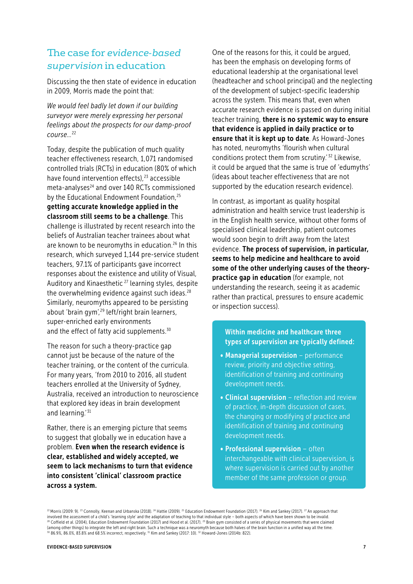## The case for *evidence-based supervision* in education

Discussing the then state of evidence in education in 2009, Morris made the point that:

*We would feel badly let down if our building surveyor were merely expressing her personal feelings about the prospects for our damp-proof course…*<sup>22</sup>

Today, despite the publication of much quality teacher effectiveness research, 1,071 randomised controlled trials (RCTs) in education (80% of which have found intervention effects),<sup>23</sup> accessible meta-analyses<sup>24</sup> and over 140 RCTs commissioned by the Educational Endowment Foundation,<sup>25</sup> getting accurate knowledge applied in the classroom still seems to be a challenge. This challenge is illustrated by recent research into the beliefs of Australian teacher trainees about what are known to be neuromyths in education.<sup>26</sup> In this research, which surveyed 1,144 pre-service student teachers, 97.1% of participants gave incorrect responses about the existence and utility of Visual, Auditory and Kinaesthetic<sup>27</sup> learning styles, despite the overwhelming evidence against such ideas. $28$ Similarly, neuromyths appeared to be persisting about 'brain gym',<sup>29</sup> left/right brain learners, super-enriched early environments and the effect of fatty acid supplements.<sup>30</sup>

The reason for such a theory-practice gap cannot just be because of the nature of the teacher training, or the content of the curricula. For many years, 'from 2010 to 2016, all student teachers enrolled at the University of Sydney, Australia, received an introduction to neuroscience that explored key ideas in brain development and learning.' 31

Rather, there is an emerging picture that seems to suggest that globally we in education have a problem. Even when the research evidence is clear, established and widely accepted, we seem to lack mechanisms to turn that evidence into consistent 'clinical' classroom practice across a system.

One of the reasons for this, it could be argued, has been the emphasis on developing forms of educational leadership at the organisational level (headteacher and school principal) and the neglecting of the development of subject-specific leadership across the system. This means that, even when accurate research evidence is passed on during initial teacher training, there is no systemic way to ensure that evidence is applied in daily practice or to ensure that it is kept up to date. As Howard-Jones has noted, neuromyths 'flourish when cultural conditions protect them from scrutiny.<sup>'32</sup> Likewise, it could be argued that the same is true of 'edumyths' (ideas about teacher effectiveness that are not supported by the education research evidence).

In contrast, as important as quality hospital administration and health service trust leadership is in the English health service, without other forms of specialised clinical leadership, patient outcomes would soon begin to drift away from the latest evidence. The process of supervision, in particular, seems to help medicine and healthcare to avoid some of the other underlying causes of the theorypractice gap in education (for example, not understanding the research, seeing it as academic rather than practical, pressures to ensure academic or inspection success).

Within medicine and healthcare three types of supervision are typically defined:

- Managerial supervision performance review, priority and objective setting, identification of training and continuing development needs.
- Clinical supervision reflection and review of practice, in-depth discussion of cases, the changing or modifying of practice and identification of training and continuing development needs.
- Professional supervision often interchangeable with clinical supervision, is where supervision is carried out by another member of the same profession or group.

22 Morris (2009: 9). <sup>23</sup> Connolly, Keenan and Urbanska (2018). <sup>24</sup> Hattie (2009). <sup>25</sup> Education Endowment Foundation (2017). <sup>26</sup> Kim and Sankey (2017). <sup>27</sup> An approach that involved the assessment of a child's 'learning style' and the adaptation of teaching to that individual style – both aspects of which have been shown to be invalid.<br><sup>28</sup> Coffield et al. (2004), Education Endowment Foundati (among other things) to integrate the left and right brain. Such a technique was a neuromyth because both halves of the brain function in a unified way all the time. 30 86.9%, 86.0%, 83.8% and 68.5% incorrect, respectively. 31 Kim and Sankey (2017: 10). 32 Howard-Jones (2014b: 822).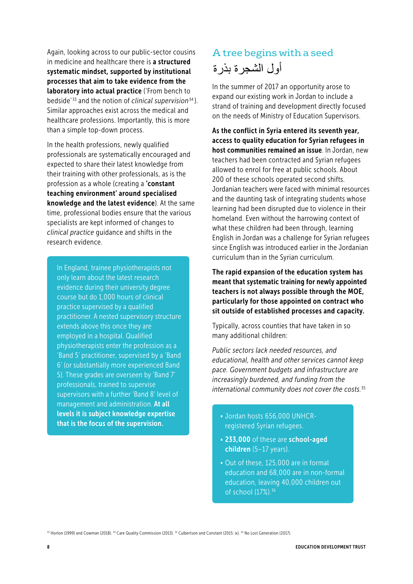Again, looking across to our public-sector cousins in medicine and healthcare there is a structured systematic mindset, supported by institutional processes that aim to take evidence from the laboratory into actual practice ('From bench to bedside' 33 and the notion of *clinical supervision*34 ). Similar approaches exist across the medical and healthcare professions. Importantly, this is more than a simple top-down process.

In the health professions, newly qualified professionals are systematically encouraged and expected to share their latest knowledge from their training with other professionals, as is the profession as a whole (creating a 'constant teaching environment' around specialised knowledge and the latest evidence). At the same time, professional bodies ensure that the various specialists are kept informed of changes to *clinical practice* guidance and shifts in the research evidence.

In England, trainee physiotherapists not only learn about the latest research evidence during their university degree course but do 1,000 hours of clinical practice supervised by a qualified practitioner. A nested supervisory structure extends above this once they are employed in a hospital. Qualified physiotherapists enter the profession as a 'Band 5' practitioner, supervised by a 'Band 6' (or substantially more experienced Band 5). These grades are overseen by 'Band 7' professionals, trained to supervise supervisors with a further 'Band 8' level of management and administration. At all levels it is subject knowledge expertise **that is subject knowledge expertise**<br> **that is the focus of the supervision.** The supervision of the supervision.

# A tree begins with a seed أول الشجر ة بذر ة

In the summer of 2017 an opportunity arose to expand our existing work in Jordan to include a strand of training and development directly focused on the needs of Ministry of Education Supervisors.

As the conflict in Syria entered its seventh year, access to quality education for Syrian refugees in host communities remained an issue. In Jordan, new teachers had been contracted and Syrian refugees allowed to enrol for free at public schools. About 200 of these schools operated second shifts. Jordanian teachers were faced with minimal resources and the daunting task of integrating students whose learning had been disrupted due to violence in their homeland. Even without the harrowing context of what these children had been through, learning English in Jordan was a challenge for Syrian refugees since English was introduced earlier in the Jordanian curriculum than in the Syrian curriculum.

The rapid expansion of the education system has meant that systematic training for newly appointed teachers is not always possible through the MOE, particularly for those appointed on contract who sit outside of established processes and capacity.

Typically, across counties that have taken in so many additional children:

*Public sectors lack needed resources, and educational, health and other services cannot keep pace. Government budgets and infrastructure are increasingly burdened, and funding from the international community does not cover the costs.*<sup>35</sup>

- registered Syrian refugees.
- 233,000 of these are school-aged children (5-17 years).
- Out of these, 125,000 are in formal education and 68,000 are in non-formal education, leaving 40,000 children out of school (17%).<sup>36</sup>

<sup>33</sup> Horton (1999) and Cowman (2018). <sup>34</sup> Care Quality Commission (2013). <sup>35</sup> Culbertson and Constant (2015: ix). <sup>36</sup> No Lost Generation (2017).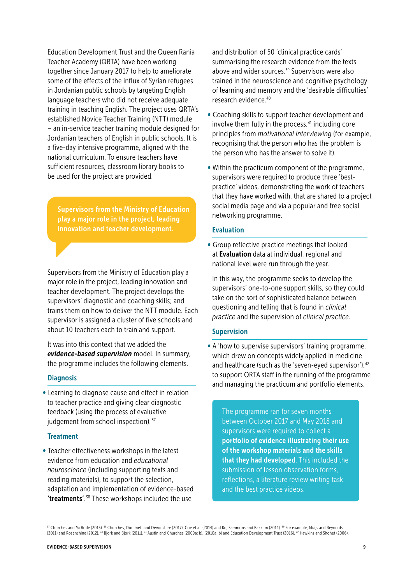Education Development Trust and the Queen Rania Teacher Academy (QRTA) have been working together since January 2017 to help to ameliorate some of the effects of the influx of Syrian refugees in Jordanian public schools by targeting English language teachers who did not receive adequate training in teaching English. The project uses QRTA's established Novice Teacher Training (NTT) module – an in-service teacher training module designed for Jordanian teachers of English in public schools. It is a five-day intensive programme, aligned with the national curriculum. To ensure teachers have sufficient resources, classroom library books to be used for the project are provided.

Supervisors from the Ministry of Education play a major role in the project, leading innovation and teacher development.

Supervisors from the Ministry of Education play a major role in the project, leading innovation and teacher development. The project develops the supervisors' diagnostic and coaching skills; and trains them on how to deliver the NTT module. Each supervisor is assigned a cluster of five schools and about 10 teachers each to train and support.

It was into this context that we added the *evidence-based supervision* model. In summary, the programme includes the following elements.

#### **Diagnosis**

• Learning to diagnose cause and effect in relation to teacher practice and giving clear diagnostic feedback (using the process of evaluative judgement from school inspection). 37

#### **Treatment**

• Teacher effectiveness workshops in the latest evidence from education and *educational neuroscience* (including supporting texts and reading materials), to support the selection, adaptation and implementation of evidence-based 'treatments'. 38 These workshops included the use

and distribution of 50 'clinical practice cards' summarising the research evidence from the texts above and wider sources.<sup>39</sup> Supervisors were also trained in the neuroscience and cognitive psychology of learning and memory and the 'desirable difficulties' research evidence.40

- Coaching skills to support teacher development and involve them fully in the process, $41$  including core principles from *motivational interviewing* (for example, recognising that the person who has the problem is the person who has the answer to solve it).
- Within the practicum component of the programme, supervisors were required to produce three 'bestpractice' videos, demonstrating the work of teachers that they have worked with, that are shared to a project social media page and via a popular and free social networking programme.

#### Evaluation

• Group reflective practice meetings that looked at Evaluation data at individual, regional and national level were run through the year.

In this way, the programme seeks to develop the supervisors' one-to-one support skills, so they could take on the sort of sophisticated balance between questioning and telling that is found in *clinical practice* and the supervision of *clinical practice*.

#### Supervision

• A 'how to supervise supervisors' training programme, which drew on concepts widely applied in medicine and healthcare (such as the 'seven-eyed supervisor'), <sup>42</sup> to support QRTA staff in the running of the programme and managing the practicum and portfolio elements.

The programme ran for seven months between October 2017 and May 2018 and supervisors were required to collect a portfolio of evidence illustrating their use of the workshop materials and the skills that they had developed. This included the submission of lesson observation forms, reflections, a literature review writing task and the best practice videos.

37 Churches and McBride (2013). 38 Churches, Dommett and Devonshire (2017), Coe et al. (2014) and Ko, Sammons and Bakkum (2014). 39 For example, Muijs and Reynolds (2011) and Rosenshine (2012). <sup>40</sup> Bjork and Bjork (2011). <sup>41</sup> Austin and Churches (2009a; b), (2010a; b) and Education Development Trust (2016). <sup>42</sup> Hawkins and Shohet (2006).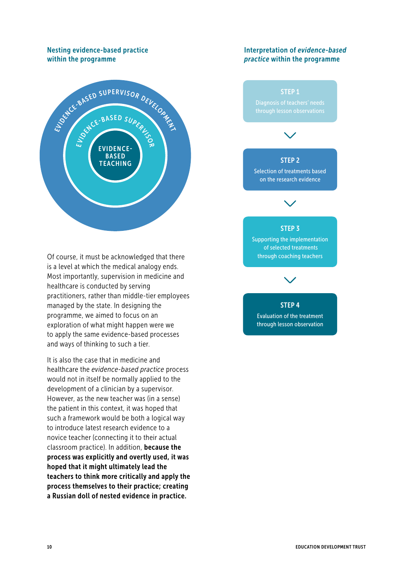#### Nesting evidence-based practice within the programme



Of course, it must be acknowledged that there is a level at which the medical analogy ends. Most importantly, supervision in medicine and healthcare is conducted by serving practitioners, rather than middle-tier employees managed by the state. In designing the programme, we aimed to focus on an exploration of what might happen were we to apply the same evidence-based processes and ways of thinking to such a tier.

It is also the case that in medicine and healthcare the *evidence-based practice* process would not in itself be normally applied to the development of a clinician by a supervisor. However, as the new teacher was (in a sense) the patient in this context, it was hoped that such a framework would be both a logical way to introduce latest research evidence to a novice teacher (connecting it to their actual classroom practice). In addition, because the process was explicitly and overtly used, it was hoped that it might ultimately lead the teachers to think more critically and apply the process themselves to their practice; creating a Russian doll of nested evidence in practice.

#### Interpretation of *evidence-based practice* within the programme



EDUCATION DEVELOPMENT TRUST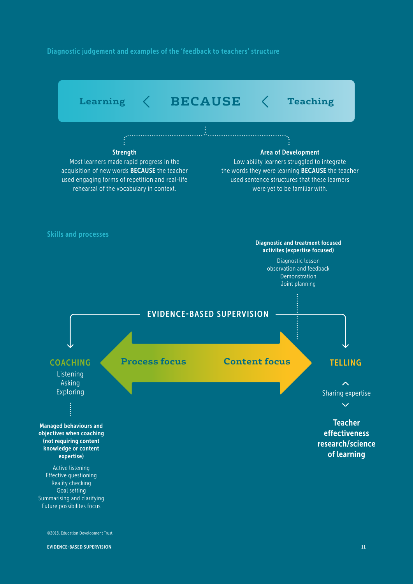Diagnostic judgement and examples of the 'feedback to teachers' structure

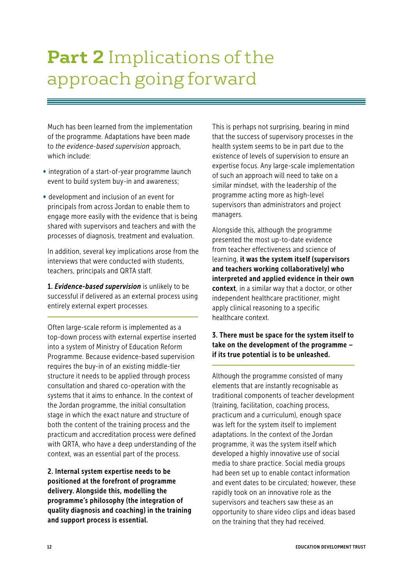# **Part 2** Implications of the approach going forward

Much has been learned from the implementation of the programme. Adaptations have been made to *the evidence-based supervision* approach, which include:

- integration of a start-of-year programme launch event to build system buy-in and awareness;
- development and inclusion of an event for principals from across Jordan to enable them to engage more easily with the evidence that is being shared with supervisors and teachers and with the processes of diagnosis, treatment and evaluation.

In addition, several key implications arose from the interviews that were conducted with students, teachers, principals and QRTA staff.

1. *Evidence-based supervision* is unlikely to be successful if delivered as an external process using entirely external expert processes.

Often large-scale reform is implemented as a top-down process with external expertise inserted into a system of Ministry of Education Reform Programme. Because evidence-based supervision requires the buy-in of an existing middle-tier structure it needs to be applied through process consultation and shared co-operation with the systems that it aims to enhance. In the context of the Jordan programme, the initial consultation stage in which the exact nature and structure of both the content of the training process and the practicum and accreditation process were defined with QRTA, who have a deep understanding of the context, was an essential part of the process.

2. Internal system expertise needs to be positioned at the forefront of programme delivery. Alongside this, modelling the programme's philosophy (the integration of quality diagnosis and coaching) in the training and support process is essential.

This is perhaps not surprising, bearing in mind that the success of supervisory processes in the health system seems to be in part due to the existence of levels of supervision to ensure an expertise focus. Any large-scale implementation of such an approach will need to take on a similar mindset, with the leadership of the programme acting more as high-level supervisors than administrators and project managers.

Alongside this, although the programme presented the most up-to-date evidence from teacher effectiveness and science of learning, it was the system itself (supervisors and teachers working collaboratively) who interpreted and applied evidence in their own context, in a similar way that a doctor, or other independent healthcare practitioner, might apply clinical reasoning to a specific healthcare context.

#### 3. There must be space for the system itself to take on the development of the programme – if its true potential is to be unleashed.

Although the programme consisted of many elements that are instantly recognisable as traditional components of teacher development (training, facilitation, coaching process, practicum and a curriculum), enough space was left for the system itself to implement adaptations. In the context of the Jordan programme, it was the system itself which developed a highly innovative use of social media to share practice. Social media groups had been set up to enable contact information and event dates to be circulated; however, these rapidly took on an innovative role as the supervisors and teachers saw these as an opportunity to share video clips and ideas based on the training that they had received.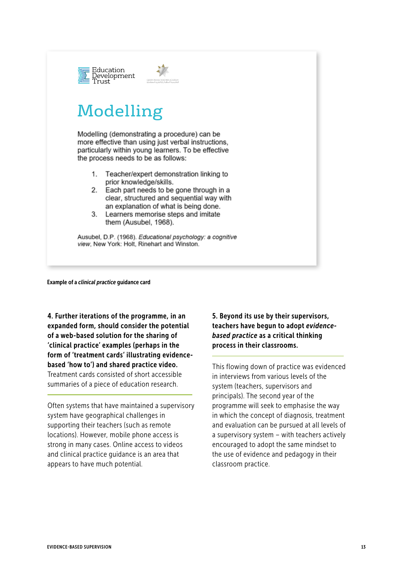

#### Example of a *clinical practice* guidance card

4. Further iterations of the programme, in an expanded form, should consider the potential of a web-based solution for the sharing of 'clinical practice' examples (perhaps in the form of 'treatment cards' illustrating evidencebased 'how to') and shared practice video. Treatment cards consisted of short accessible summaries of a piece of education research.

Often systems that have maintained a supervisory system have geographical challenges in supporting their teachers (such as remote locations). However, mobile phone access is strong in many cases. Online access to videos and clinical practice guidance is an area that appears to have much potential.

5. Beyond its use by their supervisors, teachers have begun to adopt *evidencebased practice* as a critical thinking process in their classrooms.

This flowing down of practice was evidenced in interviews from various levels of the system (teachers, supervisors and principals). The second year of the programme will seek to emphasise the way in which the concept of diagnosis, treatment and evaluation can be pursued at all levels of a supervisory system – with teachers actively encouraged to adopt the same mindset to the use of evidence and pedagogy in their classroom practice.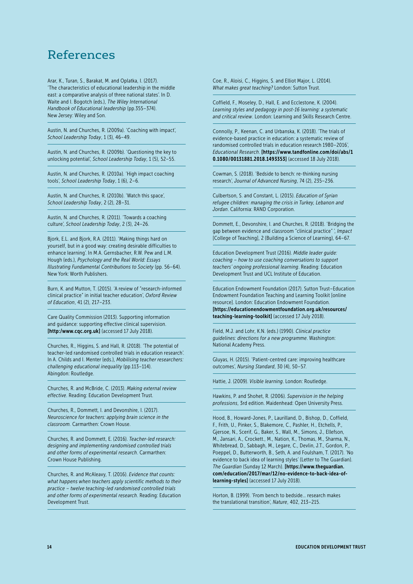# References

Arar, K., Turan, S., Barakat, M. and Oplatka, I. (2017). 'The characteristics of educational leadership in the middle east: a comparative analysis of three national states'. In D. Waite and I. Bogotch (eds.), *The Wiley International Handbook of Educational leadership* (pp.355–374). New Jersey: Wiley and Son.

Austin, N. and Churches, R. (2009a). 'Coaching with impact', *School Leadership Today*, 1 (3), 46–49.

Austin, N. and Churches, R. (2009b). 'Questioning the key to unlocking potential', *School Leadership Today*, 1 (5), 52–55.

Austin, N. and Churches, R. (2010a). 'High impact coaching tools', *School Leadership Today*, 1 (6), 2–6.

Austin, N. and Churches, R. (2010b). 'Watch this space', *School Leadership Today*, 2 (2), 28–31.

Austin, N. and Churches, R. (2011). 'Towards a coaching culture', *School Leadership Today*, 2 (3), 24–26.

Bjork, E.L. and Bjork, R.A. (2011). 'Making things hard on yourself, but in a good way: creating desirable difficulties to enhance learning'. In M.A. Gernsbacher, R.W. Pew and L.M. Hough (eds.), *Psychology and the Real World: Essays Illustrating Fundamental Contributions to Society* (pp. 56–64). New York: Worth Publishers.

Burn, K. and Mutton, T. (2015). 'A review of "research-informed clinical practice" in initial teacher education', *Oxford Review of Education*, 41 (2), 217–233.

Care Quality Commission (2013). Supporting information and guidance: supporting effective clinical supervision. [http:/www.cqc.org.uk] (accessed 17 July 2018).

Churches, R., Higgins, S. and Hall, R. (2018). 'The potential of teacher-led randomised controlled trials in education research'. In A. Childs and I. Menter (eds.), *Mobilising teacher researchers: challenging educational inequality* (pp.113–114). Abingdon: Routledge.

Churches, R. and McBride, C. (2013). *Making external review effective*. Reading: Education Development Trust.

Churches, R., Dommett, I. and Devonshire, I. (2017). *Neuroscience for teachers: applying brain science in the classroom.* Carmarthen: Crown House.

Churches, R. and Dommett, E. (2016). *Teacher-led research: designing and implementing randomised controlled trials and other forms of experimental research*. Carmarthen: Crown House Publishing.

Churches, R. and McAleavy, T. (2016). *Evidence that counts: what happens when teachers apply scientific methods to their practice – twelve teaching-led randomised controlled trials and other forms of experimental research*. Reading: Education Development Trust.

Coe, R., Aloisi, C., Higgins, S. and Elliot Major, L. (2014). *What makes great teaching?* London: Sutton Trust.

Coffield, F., Moseley, D., Hall, E. and Ecclestone, K. (2004). *Learning styles and pedagogy in post-16 learning: a systematic and critical review*. London: Learning and Skills Research Centre.

Connolly, P., Keenan, C. and Urbanska, K. (2018). 'The trials of evidence-based practice in education: a systematic review of randomised controlled trials in education research 1980–2016', *Educational Research*. [https://www.tandfonline.com/doi/abs/1 0.1080/00131881.2018.1493353] (accessed 18 July 2018).

Cowman, S. (2018). 'Bedside to bench: re-thinking nursing research', *Journal of Advanced Nursing*, 74 (2), 235–236.

Culbertson, S. and Constant, L. (2015). *Education of Syrian refugee children: managing the crisis in Turkey, Lebanon and Jordan*. California: RAND Corporation.

Dommett, E., Devonshire, I. and Churches, R. (2018). 'Bridging the gap between evidence and classroom "clinical practice" ', *Impact* [College of Teaching], 2 (Building a Science of Learning), 64–67.

Education Development Trust (2016). *Middle leader guide: coaching – how to use coaching conversations to support teachers' ongoing professional learning*. Reading: Education Development Trust and UCL Institute of Education.

Education Endowment Foundation (2017). Sutton Trust–Education Endowment Foundation Teaching and Learning Toolkit [online resource]. London: Education Endowment Foundation. [https://educationendowmentfoundation.org.uk/resources/ teaching-learning-toolkit] (accessed 17 July 2018).

Field, M.J. and Lohr, K.N. (eds.) (1990). *Clinical practice guidelines: directions for a new programme*. Washington: National Academy Press.

Gluyas, H. (2015). 'Patient-centred care: improving healthcare outcomes', *Nursing Standard*, 30 (4), 50–57.

Hattie, J. (2009). *Visible learning*. London: Routledge.

Hawkins, P. and Shohet, R. (2006). *Supervision in the helping professions*, 3rd edition. Maidenhead: Open University Press.

Hood, B., Howard-Jones, P., Laurilland, D., Bishop, D., Coffield, F., Frith, U., Pinker, S., Blakemore, C., Pashler, H., Etchells, P., Gjersoe, N., Scerif, G., Baker, S., Wall, M., Simons, J., Ellefson, M., Jansari, A., Crockett., M., Nation, K., Thomas, M., Sharma, N., Whitebread, D., Sabbagh, M., Legare, C., Devlin, J.T., Gordon, P., Poeppel, D., Butterworth, B., Seth, A. and Foulsham, T. (2017). 'No evidence to back idea of learning styles' (Letter to The Guardian). *The Guardian* (Sunday 12 March). [https://www.theguardian. com/education/2017/mar/12/no-evidence-to-back-idea-oflearning-styles] (accessed 17 July 2018).

Horton, B. (1999). 'From bench to bedside… research makes the translational transition', *Nature*, 402, 213–215.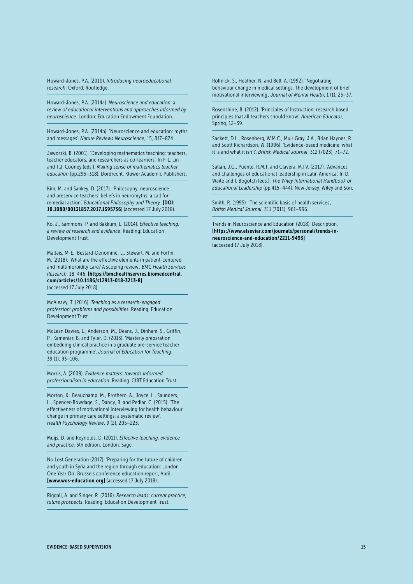Howard-Jones, P.A. (2010). *Introducing neuroeducational research*. Oxford: Routledge.

Howard-Jones, P.A. (2014a). *Neuroscience and education: a review of educational interventions and approaches informed by neuroscience*. London: Education Endowment Foundation.

Howard-Jones, P.A. (2014b). 'Neuroscience and education: myths and messages'. *Nature Reviews Neuroscience*, 15, 817–824.

Jaworski, B. (2001). 'Developing mathematics teaching: teachers, teacher educators, and researchers as co-learners'. In F-L. Lin and T.J. Cooney (eds.), *Making sense of mathematics teacher education* (pp.295–318). Dordrecht: Kluwer Academic Publishers.

Kim, M. and Sankey, D. (2017). 'Philosophy, neuroscience and preservice teachers' beliefs in neuromyths: a call for remedial action', *Educational Philosophy and Theory*. [DOI: 10.1080/00131857.2017.1395736] (accessed 17 July 2018).

Ko, J., Sammons, P. and Bakkum, L. (2014). *Effective teaching: a review of research and evidence*. Reading: Education Development Trust.

Maltais, M-E., Bestard-Denommé, L., Stewart, M. and Fortin, M. (2018). 'What are the effective elements in patient-centered and multimorbidity care? A scoping review', *BMC Health Services Research*, 18, 446. [https://bmchealthservres.biomedcentral. com/articles/10.1186/s12913-018-3213-8] (accessed 17 July 2018]

McAleavy, T. (2016). *Teaching as a research-engaged profession: problems and possibilities.* Reading: Education Development Trust.

McLean Davies, L., Anderson, M., Deans, J., Dinham, S., Griffin, P., Kameniar, B. and Tyler, D. (2013). 'Masterly preparation: embedding clinical practice in a graduate pre-service teacher education programme', *Journal of Education for Teaching*, 39 (1), 93–106.

Morris, A. (2009). *Evidence matters: towards informed professionalism in education*. Reading: CfBT Education Trust.

Morton, K., Beauchamp, M., Prothero, A., Joyce, L., Saunders, L., Spencer-Bowdage, S., Dancy, B. and Pedlar, C. (2015). 'The effectiveness of motivational interviewing for health behaviour change in primary care settings: a systematic review', *Health Psychology Review*, 9 (2), 205–223.

Muijs, D. and Reynolds, D. (2011). *Effective teaching: evidence and practice*, 5th edition, London: Sage.

No Lost Generation (2017). 'Preparing for the future of children and youth in Syria and the region through education: London One Year On'. Brussels conference education report, April. [www.wos-education.org] (accessed 17 July 2018).

Riggall, A. and Singer, R. (2016). *Research leads: current practice, future prospects*. Reading: Education Development Trust.

Rollnick, S., Heather, N. and Bell, A. (1992). 'Negotiating behaviour change in medical settings. The development of brief motivational interviewing', *Journal of Mental Health*, 1 (1), 25–37.

Rosenshine, B. (2012). 'Principles of Instruction: research based principles that all teachers should know', *American Educator*, Spring, 12–39.

Sackett, D.L., Rosenberg, W.M.C., Muir Gray, J.A., Brian Haynes, R. and Scott Richardson, W. (1996). 'Evidence-based medicine: what it is and what it isn't'. *British Medical Journal*, 312 (7023), 71–72.

Sallán, J.G., Puente, R.M.T. and Clavera, M.I.V. (2017). 'Advances and challenges of educational leadership in Latin America'. In D. Waite and I. Bogotch (eds.), *The Wiley International Handbook of Educational Leadership* (pp.415–444). New Jersey: Wiley and Son.

Smith, R. (1995). 'The scientific basis of health services', *British Medical Journal*, 311 (7011), 961–996.

Trends in Neuroscience and Education (2018). Description. [https://www.elsevier.com/journals/personal/trends-inneuroscience-and-education/2211-9493] (accessed 17 July 2018).